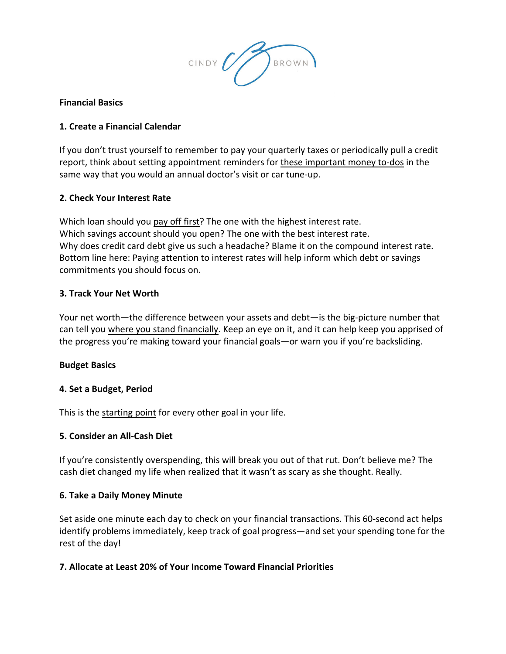

## **Financial Basics**

### **1. Create a Financial Calendar**

If you don't trust yourself to remember to pay your quarterly taxes or periodically pull a credit report, think about setting appointment reminders for these important money to-dos in the same way that you would an annual doctor's visit or car tune-up.

## **2. Check Your Interest Rate**

Which loan should you pay off first? The one with the highest interest rate. Which savings account should you open? The one with the best interest rate. Why does credit card debt give us such a headache? Blame it on the compound interest rate. Bottom line here: Paying attention to interest rates will help inform which debt or savings commitments you should focus on.

## **3. Track Your Net Worth**

Your net worth—the difference between your assets and debt—is the big-picture number that can tell you where you stand financially. Keep an eye on it, and it can help keep you apprised of the progress you're making toward your financial goals—or warn you if you're backsliding.

### **Budget Basics**

### **4. Set a Budget, Period**

This is the starting point for every other goal in your life.

### **5. Consider an All-Cash Diet**

If you're consistently overspending, this will break you out of that rut. Don't believe me? The cash diet changed my life when realized that it wasn't as scary as she thought. Really.

### **6. Take a Daily Money Minute**

Set aside one minute each day to check on your financial transactions. This 60-second act helps identify problems immediately, keep track of goal progress—and set your spending tone for the rest of the day!

# **7. Allocate at Least 20% of Your Income Toward Financial Priorities**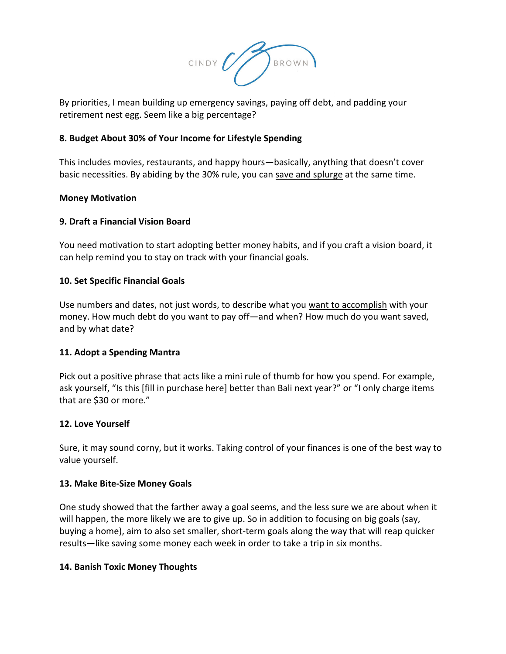

By priorities, I mean building up emergency savings, paying off debt, and padding your retirement nest egg. Seem like a big percentage?

# **8. Budget About 30% of Your Income for Lifestyle Spending**

This includes movies, restaurants, and happy hours—basically, anything that doesn't cover basic necessities. By abiding by the 30% rule, you can save and splurge at the same time.

## **Money Motivation**

## **9. Draft a Financial Vision Board**

You need motivation to start adopting better money habits, and if you craft a vision board, it can help remind you to stay on track with your financial goals.

## **10. Set Specific Financial Goals**

Use numbers and dates, not just words, to describe what you want to accomplish with your money. How much debt do you want to pay off—and when? How much do you want saved, and by what date?

# **11. Adopt a Spending Mantra**

Pick out a positive phrase that acts like a mini rule of thumb for how you spend. For example, ask yourself, "Is this [fill in purchase here] better than Bali next year?" or "I only charge items that are \$30 or more."

# **12. Love Yourself**

Sure, it may sound corny, but it works. Taking control of your finances is one of the best way to value yourself.

### **13. Make Bite-Size Money Goals**

One study showed that the farther away a goal seems, and the less sure we are about when it will happen, the more likely we are to give up. So in addition to focusing on big goals (say, buying a home), aim to also set smaller, short-term goals along the way that will reap quicker results—like saving some money each week in order to take a trip in six months.

# **14. Banish Toxic Money Thoughts**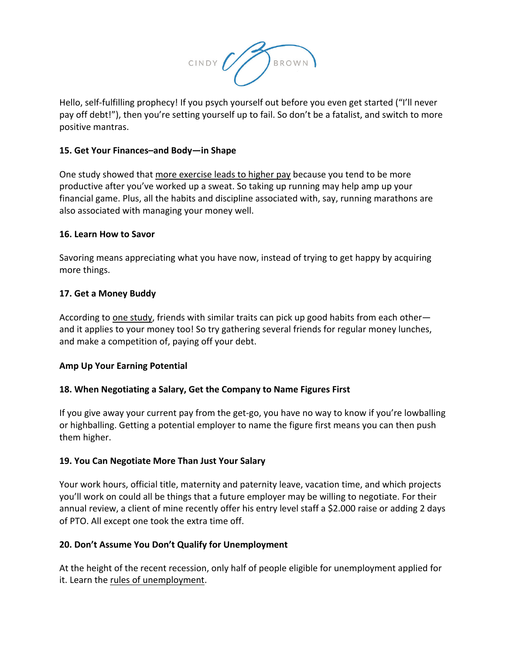

Hello, self-fulfilling prophecy! If you psych yourself out before you even get started ("I'll never pay off debt!"), then you're setting yourself up to fail. So don't be a fatalist, and switch to more positive mantras.

# **15. Get Your Finances–and Body—in Shape**

One study showed that more exercise leads to higher pay because you tend to be more productive after you've worked up a sweat. So taking up running may help amp up your financial game. Plus, all the habits and discipline associated with, say, running marathons are also associated with managing your money well.

### **16. Learn How to Savor**

Savoring means appreciating what you have now, instead of trying to get happy by acquiring more things.

## **17. Get a Money Buddy**

According to one study, friends with similar traits can pick up good habits from each other and it applies to your money too! So try gathering several friends for regular money lunches, and make a competition of, paying off your debt.

# **Amp Up Your Earning Potential**

# 18. When Negotiating a Salary, Get the Company to Name Figures First

If you give away your current pay from the get-go, you have no way to know if you're lowballing or highballing. Getting a potential employer to name the figure first means you can then push them higher.

### **19. You Can Negotiate More Than Just Your Salary**

Your work hours, official title, maternity and paternity leave, vacation time, and which projects you'll work on could all be things that a future employer may be willing to negotiate. For their annual review, a client of mine recently offer his entry level staff a \$2.000 raise or adding 2 days of PTO. All except one took the extra time off.

# **20. Don't Assume You Don't Qualify for Unemployment**

At the height of the recent recession, only half of people eligible for unemployment applied for it. Learn the rules of unemployment.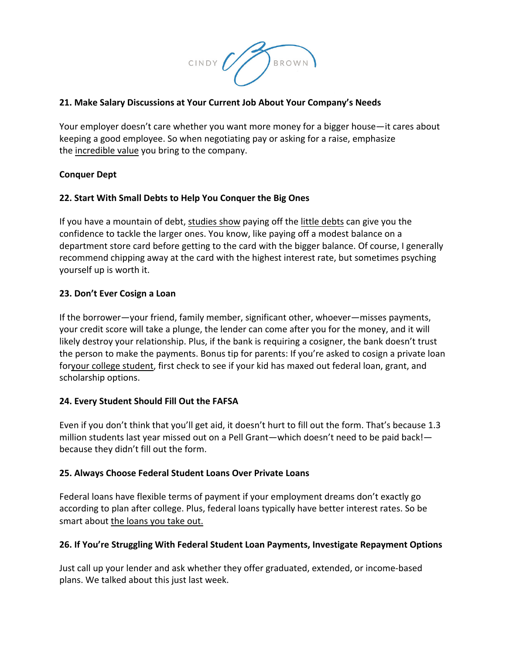

# **21. Make Salary Discussions at Your Current Job About Your Company's Needs**

Your employer doesn't care whether you want more money for a bigger house—it cares about keeping a good employee. So when negotiating pay or asking for a raise, emphasize the incredible value you bring to the company.

### **Conquer Dept**

### **22. Start With Small Debts to Help You Conquer the Big Ones**

If you have a mountain of debt, studies show paying off the little debts can give you the confidence to tackle the larger ones. You know, like paying off a modest balance on a department store card before getting to the card with the bigger balance. Of course, I generally recommend chipping away at the card with the highest interest rate, but sometimes psyching yourself up is worth it.

### **23. Don't Ever Cosign a Loan**

If the borrower—your friend, family member, significant other, whoever—misses payments, your credit score will take a plunge, the lender can come after you for the money, and it will likely destroy your relationship. Plus, if the bank is requiring a cosigner, the bank doesn't trust the person to make the payments. Bonus tip for parents: If you're asked to cosign a private loan foryour college student, first check to see if your kid has maxed out federal loan, grant, and scholarship options.

### **24. Every Student Should Fill Out the FAFSA**

Even if you don't think that you'll get aid, it doesn't hurt to fill out the form. That's because 1.3 million students last year missed out on a Pell Grant—which doesn't need to be paid back! because they didn't fill out the form.

#### **25. Always Choose Federal Student Loans Over Private Loans**

Federal loans have flexible terms of payment if your employment dreams don't exactly go according to plan after college. Plus, federal loans typically have better interest rates. So be smart about the loans you take out.

### 26. If You're Struggling With Federal Student Loan Payments, Investigate Repayment Options

Just call up your lender and ask whether they offer graduated, extended, or income-based plans. We talked about this just last week.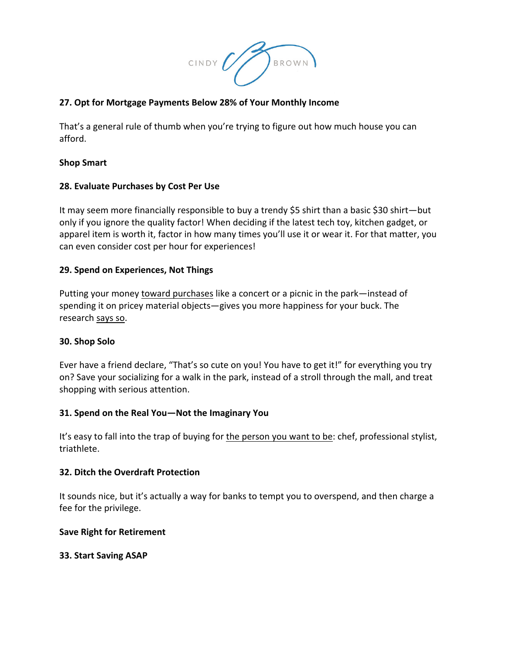

## **27. Opt for Mortgage Payments Below 28% of Your Monthly Income**

That's a general rule of thumb when you're trying to figure out how much house you can afford.

### **Shop Smart**

## **28. Evaluate Purchases by Cost Per Use**

It may seem more financially responsible to buy a trendy \$5 shirt than a basic \$30 shirt—but only if you ignore the quality factor! When deciding if the latest tech toy, kitchen gadget, or apparel item is worth it, factor in how many times you'll use it or wear it. For that matter, you can even consider cost per hour for experiences!

## **29. Spend on Experiences, Not Things**

Putting your money toward purchases like a concert or a picnic in the park—instead of spending it on pricey material objects-gives you more happiness for your buck. The research says so.

### **30. Shop Solo**

Ever have a friend declare, "That's so cute on you! You have to get it!" for everything you try on? Save your socializing for a walk in the park, instead of a stroll through the mall, and treat shopping with serious attention.

### **31. Spend on the Real You-Not the Imaginary You**

It's easy to fall into the trap of buying for the person you want to be: chef, professional stylist, triathlete.

### **32. Ditch the Overdraft Protection**

It sounds nice, but it's actually a way for banks to tempt you to overspend, and then charge a fee for the privilege.

### **Save Right for Retirement**

### **33. Start Saving ASAP**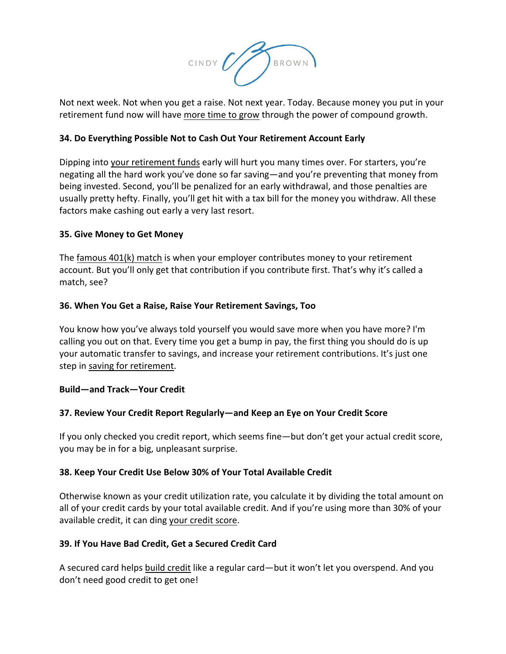

Not next week. Not when you get a raise. Not next year. Today. Because money you put in your retirement fund now will have more time to grow through the power of compound growth.

# **34. Do Everything Possible Not to Cash Out Your Retirement Account Early**

Dipping into your retirement funds early will hurt you many times over. For starters, you're negating all the hard work you've done so far saving—and you're preventing that money from being invested. Second, you'll be penalized for an early withdrawal, and those penalties are usually pretty hefty. Finally, you'll get hit with a tax bill for the money you withdraw. All these factors make cashing out early a very last resort.

### **35. Give Money to Get Money**

The famous 401(k) match is when your employer contributes money to your retirement account. But you'll only get that contribution if you contribute first. That's why it's called a match, see?

## **36. When You Get a Raise, Raise Your Retirement Savings, Too**

You know how you've always told yourself you would save more when you have more? I'm calling you out on that. Every time you get a bump in pay, the first thing you should do is up your automatic transfer to savings, and increase your retirement contributions. It's just one step in saving for retirement.

### **Build—and Track—Your Credit**

# **37. Review Your Credit Report Regularly—and Keep an Eye on Your Credit Score**

If you only checked you credit report, which seems fine—but don't get your actual credit score, you may be in for a big, unpleasant surprise.

### **38. Keep Your Credit Use Below 30% of Your Total Available Credit**

Otherwise known as your credit utilization rate, you calculate it by dividing the total amount on all of your credit cards by your total available credit. And if you're using more than 30% of your available credit, it can ding your credit score.

### **39. If You Have Bad Credit, Get a Secured Credit Card**

A secured card helps build credit like a regular card—but it won't let you overspend. And you don't need good credit to get one!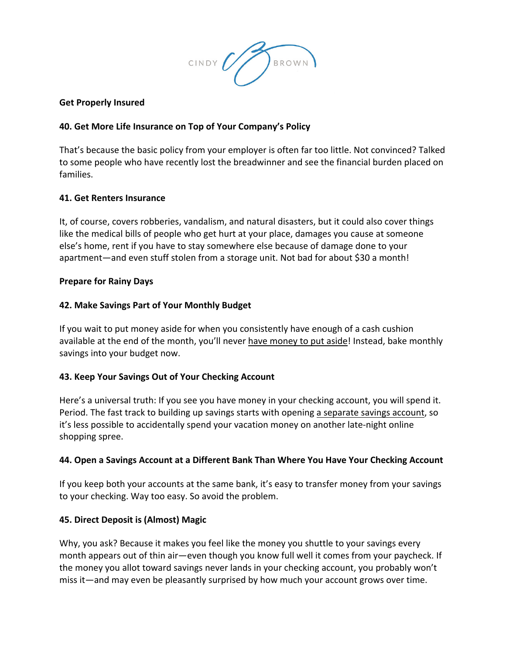

### **Get Properly Insured**

## **40. Get More Life Insurance on Top of Your Company's Policy**

That's because the basic policy from your employer is often far too little. Not convinced? Talked to some people who have recently lost the breadwinner and see the financial burden placed on families.

## **41. Get Renters Insurance**

It, of course, covers robberies, vandalism, and natural disasters, but it could also cover things like the medical bills of people who get hurt at your place, damages you cause at someone else's home, rent if you have to stay somewhere else because of damage done to your apartment—and even stuff stolen from a storage unit. Not bad for about \$30 a month!

## **Prepare for Rainy Days**

## **42. Make Savings Part of Your Monthly Budget**

If you wait to put money aside for when you consistently have enough of a cash cushion available at the end of the month, you'll never have money to put aside! Instead, bake monthly savings into your budget now.

# **43. Keep Your Savings Out of Your Checking Account**

Here's a universal truth: If you see you have money in your checking account, you will spend it. Period. The fast track to building up savings starts with opening a separate savings account, so it's less possible to accidentally spend your vacation money on another late-night online shopping spree.

### **44. Open a Savings Account at a Different Bank Than Where You Have Your Checking Account**

If you keep both your accounts at the same bank, it's easy to transfer money from your savings to your checking. Way too easy. So avoid the problem.

### **45. Direct Deposit is (Almost) Magic**

Why, you ask? Because it makes you feel like the money you shuttle to your savings every month appears out of thin air—even though you know full well it comes from your paycheck. If the money you allot toward savings never lands in your checking account, you probably won't miss it—and may even be pleasantly surprised by how much your account grows over time.